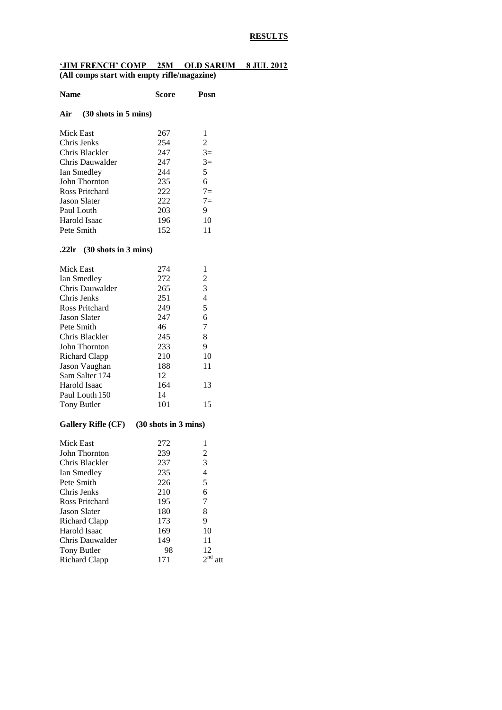### **RESULTS**

#### **'JIM FRENCH' COMP 25M OLD SARUM 8 JUL 2012 (All comps start with empty rifle/magazine)**

| <b>Name</b>                    | Score                                   | Posn           |
|--------------------------------|-----------------------------------------|----------------|
| $(30$ shots in 5 mins)<br>Air  |                                         |                |
| <b>Mick East</b>               | 267                                     | 1              |
| Chris Jenks                    | 254                                     | $\overline{c}$ |
| Chris Blackler                 | 247                                     | $3=$           |
| Chris Dauwalder                | 247                                     | $3=$           |
| Ian Smedley                    | 244                                     | 5              |
| John Thornton                  | 235                                     | 6              |
| Ross Pritchard                 | 222                                     | $7=$           |
| <b>Jason Slater</b>            | 222                                     | $7=$           |
| Paul Louth                     | 203                                     | 9              |
| Harold Isaac                   | 196                                     | 10             |
| Pete Smith                     | 152                                     | 11             |
| .22 $\ln$ (30 shots in 3 mins) |                                         |                |
| Mick East                      | 274                                     | 1              |
| Ian Smedley                    | 272                                     | $\overline{c}$ |
| Chris Dauwalder                | 265                                     | 3              |
| Chris Jenks                    | 251                                     | 4              |
| Ross Pritchard                 | 249                                     | 5              |
| <b>Jason Slater</b>            | 247                                     | 6              |
| Pete Smith                     | 46                                      | 7              |
| Chris Blackler                 | 245                                     | 8              |
| John Thornton                  | 233                                     | 9              |
| <b>Richard Clapp</b>           | 210                                     | 10             |
| Jason Vaughan                  | 188                                     | 11             |
| Sam Salter 174                 | 12                                      |                |
| Harold Isaac                   | 164                                     | 13             |
| Paul Louth 150                 | 14                                      |                |
| <b>Tony Butler</b>             | 101                                     | 15             |
|                                | Gallery Rifle (CF) (30 shots in 3 mins) |                |
| Mick East                      | 272                                     | 1              |
| John Thornton                  | 239                                     | 2              |
| Chris Blackler                 | 237                                     | 3              |
| Ian Smedley                    | 235                                     | 4              |
| Pete Smith                     | 226                                     | 5              |
| Chris Jenks                    | 210                                     | 6              |
| <b>Ross Pritchard</b>          | 195                                     | 7              |
| <b>Jason Slater</b>            | 180                                     | 8              |
| <b>Richard Clapp</b>           | 173                                     | 9              |
| Harold Isaac                   | 169                                     | 10             |
| Chris Dauwalder                | 149                                     | 11             |
| <b>Tony Butler</b>             | 98                                      | 12             |
| <b>Richard Clapp</b>           | 171                                     | $2^{nd}$ att   |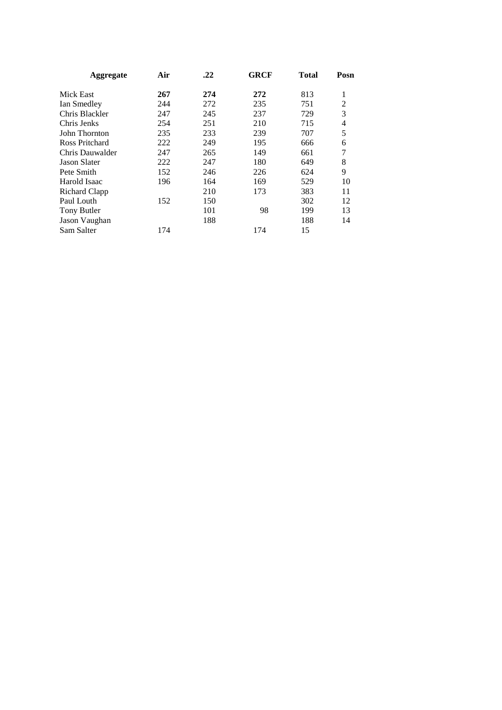| Aggregate           | Air | .22 | <b>GRCF</b> | <b>Total</b> | Posn |
|---------------------|-----|-----|-------------|--------------|------|
| Mick East           | 267 | 274 | 272         | 813          | 1    |
| Ian Smedley         | 244 | 272 | 235         | 751          | 2    |
| Chris Blackler      | 247 | 245 | 237         | 729          | 3    |
| Chris Jenks         | 254 | 251 | 210         | 715          | 4    |
| John Thornton       | 235 | 233 | 239         | 707          | 5    |
| Ross Pritchard      | 222 | 249 | 195         | 666          | 6    |
| Chris Dauwalder     | 247 | 265 | 149         | 661          | 7    |
| <b>Jason Slater</b> | 222 | 247 | 180         | 649          | 8    |
| Pete Smith          | 152 | 246 | 226         | 624          | 9    |
| Harold Isaac        | 196 | 164 | 169         | 529          | 10   |
| Richard Clapp       |     | 210 | 173         | 383          | 11   |
| Paul Louth          | 152 | 150 |             | 302          | 12   |
| Tony Butler         |     | 101 | 98          | 199          | 13   |
| Jason Vaughan       |     | 188 |             | 188          | 14   |
| Sam Salter          | 174 |     | 174         | 15           |      |